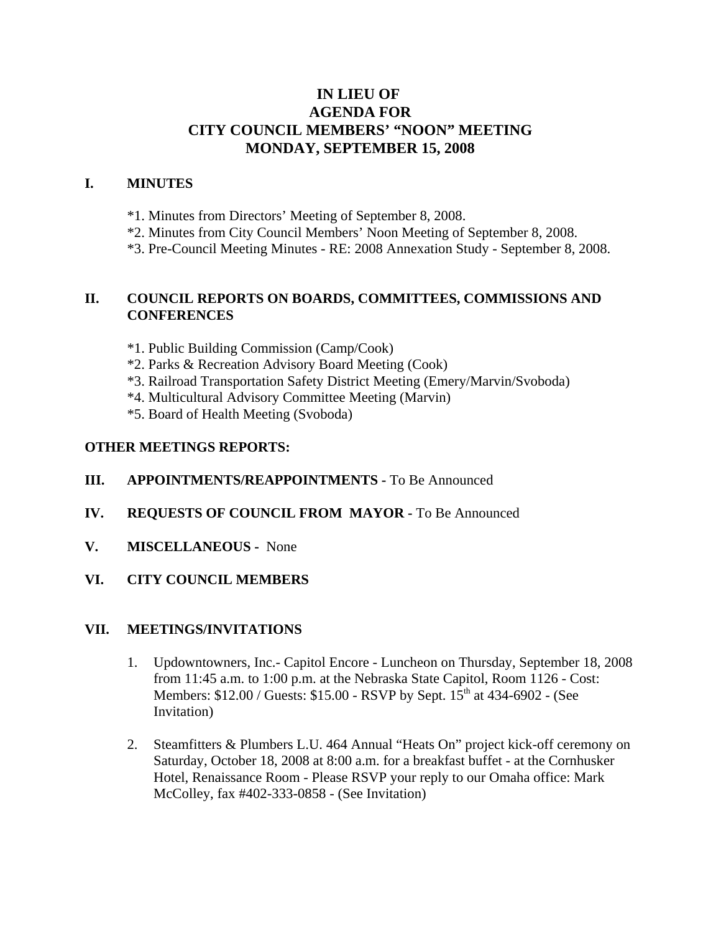# **IN LIEU OF AGENDA FOR CITY COUNCIL MEMBERS' "NOON" MEETING MONDAY, SEPTEMBER 15, 2008**

### **I. MINUTES**

- \*1. Minutes from Directors' Meeting of September 8, 2008.
- \*2. Minutes from City Council Members' Noon Meeting of September 8, 2008.
- \*3. Pre-Council Meeting Minutes RE: 2008 Annexation Study September 8, 2008.

## **II. COUNCIL REPORTS ON BOARDS, COMMITTEES, COMMISSIONS AND CONFERENCES**

- \*1. Public Building Commission (Camp/Cook)
- \*2. Parks & Recreation Advisory Board Meeting (Cook)
- \*3. Railroad Transportation Safety District Meeting (Emery/Marvin/Svoboda)
- \*4. Multicultural Advisory Committee Meeting (Marvin)
- \*5. Board of Health Meeting (Svoboda)

## **OTHER MEETINGS REPORTS:**

#### **III.** APPOINTMENTS/REAPPOINTMENTS - To Be Announced

- **IV. REQUESTS OF COUNCIL FROM MAYOR -** To Be Announced
- **V. MISCELLANEOUS -** None
- **VI. CITY COUNCIL MEMBERS**

#### **VII. MEETINGS/INVITATIONS**

- 1. Updowntowners, Inc.- Capitol Encore Luncheon on Thursday, September 18, 2008 from 11:45 a.m. to 1:00 p.m. at the Nebraska State Capitol, Room 1126 - Cost: Members: \$12.00 / Guests: \$15.00 - RSVP by Sept. 15<sup>th</sup> at 434-6902 - (See Invitation)
- 2. Steamfitters & Plumbers L.U. 464 Annual "Heats On" project kick-off ceremony on Saturday, October 18, 2008 at 8:00 a.m. for a breakfast buffet - at the Cornhusker Hotel, Renaissance Room - Please RSVP your reply to our Omaha office: Mark McColley, fax #402-333-0858 - (See Invitation)